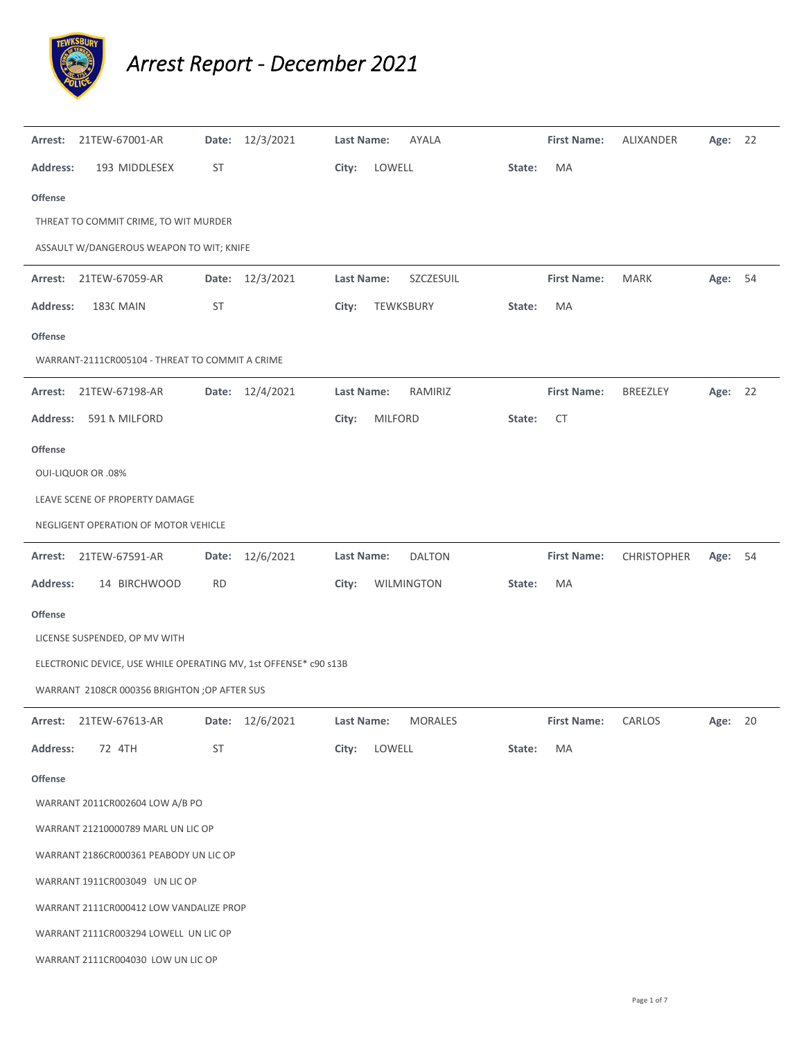

## *Arrest Report ‐ December 2021*

| Arrest:         | 21TEW-67001-AR                                                   | Date:     | 12/3/2021       | Last Name:        |                | AYALA          |        | <b>First Name:</b> | ALIXANDER       | Age: 22 |    |
|-----------------|------------------------------------------------------------------|-----------|-----------------|-------------------|----------------|----------------|--------|--------------------|-----------------|---------|----|
| <b>Address:</b> | 193 MIDDLESEX                                                    | <b>ST</b> |                 | City:             | LOWELL         |                | State: | MA                 |                 |         |    |
| <b>Offense</b>  |                                                                  |           |                 |                   |                |                |        |                    |                 |         |    |
|                 | THREAT TO COMMIT CRIME, TO WIT MURDER                            |           |                 |                   |                |                |        |                    |                 |         |    |
|                 | ASSAULT W/DANGEROUS WEAPON TO WIT; KNIFE                         |           |                 |                   |                |                |        |                    |                 |         |    |
| Arrest:         | 21TEW-67059-AR                                                   |           | Date: 12/3/2021 | <b>Last Name:</b> |                | SZCZESUIL      |        | <b>First Name:</b> | <b>MARK</b>     | Age: 54 |    |
| <b>Address:</b> | <b>1830 MAIN</b>                                                 | ST        |                 | City:             |                | TEWKSBURY      | State: | MA                 |                 |         |    |
| <b>Offense</b>  |                                                                  |           |                 |                   |                |                |        |                    |                 |         |    |
|                 | WARRANT-2111CR005104 - THREAT TO COMMIT A CRIME                  |           |                 |                   |                |                |        |                    |                 |         |    |
| Arrest:         | 21TEW-67198-AR                                                   |           | Date: 12/4/2021 | Last Name:        |                | RAMIRIZ        |        | <b>First Name:</b> | <b>BREEZLEY</b> | Age: 22 |    |
| <b>Address:</b> | 591 N MILFORD                                                    |           |                 | City:             | <b>MILFORD</b> |                | State: | <b>CT</b>          |                 |         |    |
| <b>Offense</b>  |                                                                  |           |                 |                   |                |                |        |                    |                 |         |    |
|                 | <b>OUI-LIQUOR OR .08%</b>                                        |           |                 |                   |                |                |        |                    |                 |         |    |
|                 | LEAVE SCENE OF PROPERTY DAMAGE                                   |           |                 |                   |                |                |        |                    |                 |         |    |
|                 | NEGLIGENT OPERATION OF MOTOR VEHICLE                             |           |                 |                   |                |                |        |                    |                 |         |    |
| Arrest:         | 21TEW-67591-AR                                                   | Date:     | 12/6/2021       | Last Name:        |                | <b>DALTON</b>  |        | <b>First Name:</b> | CHRISTOPHER     | Age:    | 54 |
| <b>Address:</b> | 14 BIRCHWOOD                                                     | <b>RD</b> |                 | City:             |                | WILMINGTON     | State: | MA                 |                 |         |    |
| <b>Offense</b>  |                                                                  |           |                 |                   |                |                |        |                    |                 |         |    |
|                 | LICENSE SUSPENDED, OP MV WITH                                    |           |                 |                   |                |                |        |                    |                 |         |    |
|                 | ELECTRONIC DEVICE, USE WHILE OPERATING MV, 1st OFFENSE* c90 s13B |           |                 |                   |                |                |        |                    |                 |         |    |
|                 | WARRANT 2108CR 000356 BRIGHTON ; OP AFTER SUS                    |           |                 |                   |                |                |        |                    |                 |         |    |
|                 | Arrest: 21TEW-67613-AR                                           |           | Date: 12/6/2021 | Last Name:        |                | <b>MORALES</b> |        | <b>First Name:</b> | CARLOS          | Age: 20 |    |
| <b>Address:</b> | 72 4TH                                                           | <b>ST</b> |                 | City:             | LOWELL         |                | State: | MA                 |                 |         |    |
| Offense         |                                                                  |           |                 |                   |                |                |        |                    |                 |         |    |
|                 | WARRANT 2011CR002604 LOW A/B PO                                  |           |                 |                   |                |                |        |                    |                 |         |    |
|                 | WARRANT 21210000789 MARL UN LIC OP                               |           |                 |                   |                |                |        |                    |                 |         |    |
|                 | WARRANT 2186CR000361 PEABODY UN LIC OP                           |           |                 |                   |                |                |        |                    |                 |         |    |
|                 | WARRANT 1911CR003049 UN LIC OP                                   |           |                 |                   |                |                |        |                    |                 |         |    |
|                 | WARRANT 2111CR000412 LOW VANDALIZE PROP                          |           |                 |                   |                |                |        |                    |                 |         |    |
|                 | WARRANT 2111CR003294 LOWELL UN LIC OP                            |           |                 |                   |                |                |        |                    |                 |         |    |
|                 | WARRANT 2111CR004030 LOW UN LIC OP                               |           |                 |                   |                |                |        |                    |                 |         |    |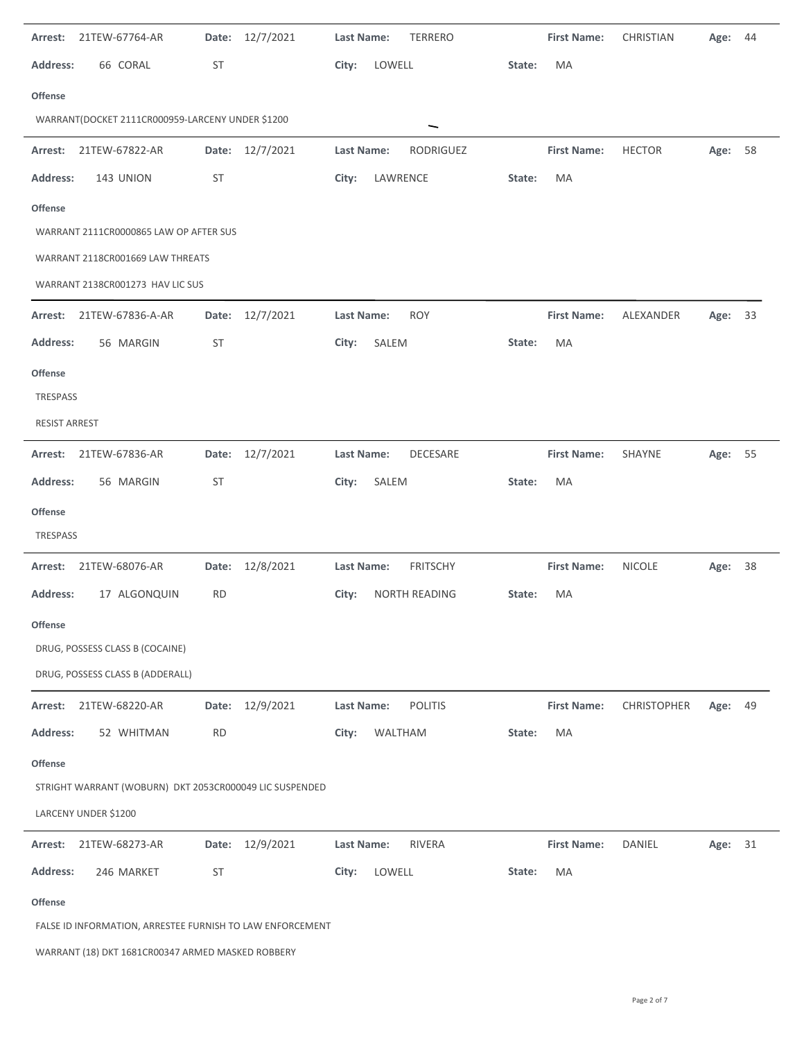| Arrest:                                          | 21TEW-67764-AR                                            | Date:     | 12/7/2021       | Last Name: |          | <b>TERRERO</b>  |        | <b>First Name:</b> | CHRISTIAN          | Age:    | 44 |
|--------------------------------------------------|-----------------------------------------------------------|-----------|-----------------|------------|----------|-----------------|--------|--------------------|--------------------|---------|----|
| <b>Address:</b>                                  | 66 CORAL                                                  | <b>ST</b> |                 | City:      | LOWELL   |                 | State: | MA                 |                    |         |    |
| <b>Offense</b>                                   |                                                           |           |                 |            |          |                 |        |                    |                    |         |    |
| WARRANT(DOCKET 2111CR000959-LARCENY UNDER \$1200 |                                                           |           |                 |            |          |                 |        |                    |                    |         |    |
| Arrest:                                          | 21TEW-67822-AR                                            |           | Date: 12/7/2021 | Last Name: |          | RODRIGUEZ       |        | <b>First Name:</b> | <b>HECTOR</b>      | Age:    | 58 |
| <b>Address:</b>                                  | 143 UNION                                                 | ST        |                 | City:      | LAWRENCE |                 | State: | MA                 |                    |         |    |
| <b>Offense</b>                                   |                                                           |           |                 |            |          |                 |        |                    |                    |         |    |
|                                                  | WARRANT 2111CR0000865 LAW OP AFTER SUS                    |           |                 |            |          |                 |        |                    |                    |         |    |
|                                                  | WARRANT 2118CR001669 LAW THREATS                          |           |                 |            |          |                 |        |                    |                    |         |    |
|                                                  | WARRANT 2138CR001273 HAV LIC SUS                          |           |                 |            |          |                 |        |                    |                    |         |    |
| Arrest:                                          | 21TEW-67836-A-AR                                          | Date:     | 12/7/2021       | Last Name: |          | <b>ROY</b>      |        | <b>First Name:</b> | ALEXANDER          | Age:    | 33 |
| <b>Address:</b>                                  | 56 MARGIN                                                 | <b>ST</b> |                 | City:      | SALEM    |                 | State: | MA                 |                    |         |    |
| <b>Offense</b>                                   |                                                           |           |                 |            |          |                 |        |                    |                    |         |    |
| <b>TRESPASS</b>                                  |                                                           |           |                 |            |          |                 |        |                    |                    |         |    |
| <b>RESIST ARREST</b>                             |                                                           |           |                 |            |          |                 |        |                    |                    |         |    |
| Arrest:                                          | 21TEW-67836-AR                                            |           | Date: 12/7/2021 | Last Name: |          | DECESARE        |        | <b>First Name:</b> | SHAYNE             | Age: 55 |    |
| <b>Address:</b>                                  | 56 MARGIN                                                 | <b>ST</b> |                 | City:      | SALEM    |                 | State: | MA                 |                    |         |    |
| <b>Offense</b>                                   |                                                           |           |                 |            |          |                 |        |                    |                    |         |    |
| TRESPASS                                         |                                                           |           |                 |            |          |                 |        |                    |                    |         |    |
| Arrest:                                          | 21TEW-68076-AR                                            |           | Date: 12/8/2021 | Last Name: |          | <b>FRITSCHY</b> |        | <b>First Name:</b> | <b>NICOLE</b>      | Age:    | 38 |
| <b>Address:</b>                                  | 17 ALGONQUIN                                              | <b>RD</b> |                 | City:      |          | NORTH READING   | State: | MA                 |                    |         |    |
| Offense                                          |                                                           |           |                 |            |          |                 |        |                    |                    |         |    |
|                                                  | DRUG, POSSESS CLASS B (COCAINE)                           |           |                 |            |          |                 |        |                    |                    |         |    |
|                                                  | DRUG, POSSESS CLASS B (ADDERALL)                          |           |                 |            |          |                 |        |                    |                    |         |    |
| Arrest:                                          | 21TEW-68220-AR                                            | Date:     | 12/9/2021       | Last Name: |          | <b>POLITIS</b>  |        | <b>First Name:</b> | <b>CHRISTOPHER</b> | Age:    | 49 |
| <b>Address:</b>                                  | 52 WHITMAN                                                | <b>RD</b> |                 | City:      | WALTHAM  |                 | State: | MA                 |                    |         |    |
| <b>Offense</b>                                   |                                                           |           |                 |            |          |                 |        |                    |                    |         |    |
|                                                  | STRIGHT WARRANT (WOBURN) DKT 2053CR000049 LIC SUSPENDED   |           |                 |            |          |                 |        |                    |                    |         |    |
|                                                  | LARCENY UNDER \$1200                                      |           |                 |            |          |                 |        |                    |                    |         |    |
| Arrest:                                          | 21TEW-68273-AR                                            | Date:     | 12/9/2021       | Last Name: |          | <b>RIVERA</b>   |        | <b>First Name:</b> | DANIEL             | Age: 31 |    |
| <b>Address:</b>                                  | 246 MARKET                                                | <b>ST</b> |                 | City:      | LOWELL   |                 | State: | MA                 |                    |         |    |
| Offense                                          |                                                           |           |                 |            |          |                 |        |                    |                    |         |    |
|                                                  | FALSE ID INFORMATION, ARRESTEE FURNISH TO LAW ENFORCEMENT |           |                 |            |          |                 |        |                    |                    |         |    |
|                                                  | WARRANT (18) DKT 1681CR00347 ARMED MASKED ROBBERY         |           |                 |            |          |                 |        |                    |                    |         |    |

J.

 $\ddot{\phantom{a}}$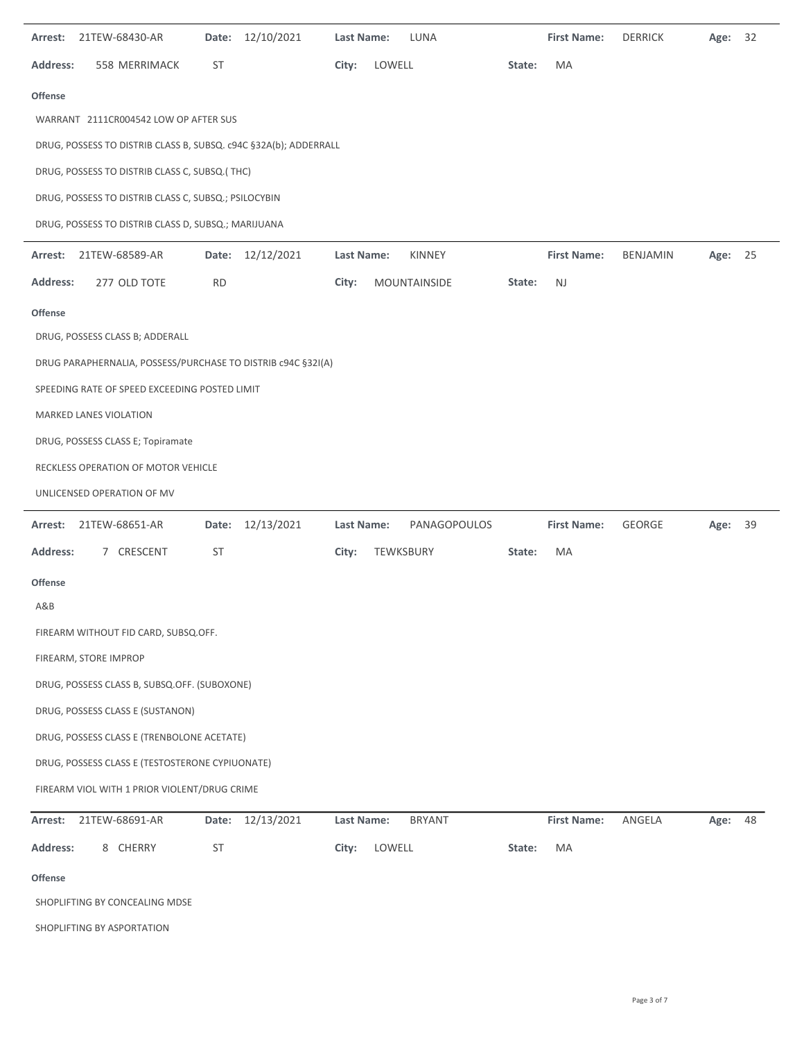| Arrest: 21TEW-68430-AR                                           | Date: 12/10/2021 | LUNA<br>Last Name:          | <b>First Name:</b> | <b>DERRICK</b><br>Age: 32 |
|------------------------------------------------------------------|------------------|-----------------------------|--------------------|---------------------------|
| <b>Address:</b><br>558 MERRIMACK                                 | ST               | City:<br>LOWELL             | MA<br>State:       |                           |
| <b>Offense</b>                                                   |                  |                             |                    |                           |
| WARRANT 2111CR004542 LOW OP AFTER SUS                            |                  |                             |                    |                           |
| DRUG, POSSESS TO DISTRIB CLASS B, SUBSQ. c94C §32A(b); ADDERRALL |                  |                             |                    |                           |
| DRUG, POSSESS TO DISTRIB CLASS C, SUBSQ.(THC)                    |                  |                             |                    |                           |
| DRUG, POSSESS TO DISTRIB CLASS C, SUBSQ.; PSILOCYBIN             |                  |                             |                    |                           |
| DRUG, POSSESS TO DISTRIB CLASS D, SUBSQ.; MARIJUANA              |                  |                             |                    |                           |
| Arrest: 21TEW-68589-AR                                           | Date: 12/12/2021 | Last Name:<br><b>KINNEY</b> | <b>First Name:</b> | BENJAMIN<br>Age: 25       |
| <b>Address:</b><br>277 OLD TOTE                                  | <b>RD</b>        | City:<br>MOUNTAINSIDE       | NJ<br>State:       |                           |
| <b>Offense</b>                                                   |                  |                             |                    |                           |
| DRUG, POSSESS CLASS B; ADDERALL                                  |                  |                             |                    |                           |
| DRUG PARAPHERNALIA, POSSESS/PURCHASE TO DISTRIB c94C §32I(A)     |                  |                             |                    |                           |
| SPEEDING RATE OF SPEED EXCEEDING POSTED LIMIT                    |                  |                             |                    |                           |
| MARKED LANES VIOLATION                                           |                  |                             |                    |                           |
| DRUG, POSSESS CLASS E; Topiramate                                |                  |                             |                    |                           |
| RECKLESS OPERATION OF MOTOR VEHICLE                              |                  |                             |                    |                           |
| UNLICENSED OPERATION OF MV                                       |                  |                             |                    |                           |
| 21TEW-68651-AR<br>Arrest:                                        | Date: 12/13/2021 | Last Name:<br>PANAGOPOULOS  | <b>First Name:</b> | GEORGE<br>39<br>Age:      |
| <b>Address:</b><br>7 CRESCENT                                    | ST               | City:<br>TEWKSBURY          | MA<br>State:       |                           |
| <b>Offense</b>                                                   |                  |                             |                    |                           |
| A&B                                                              |                  |                             |                    |                           |
| FIREARM WITHOUT FID CARD, SUBSQ.OFF.                             |                  |                             |                    |                           |
| FIREARM, STORE IMPROP                                            |                  |                             |                    |                           |
| DRUG, POSSESS CLASS B, SUBSQ.OFF. (SUBOXONE)                     |                  |                             |                    |                           |
| DRUG, POSSESS CLASS E (SUSTANON)                                 |                  |                             |                    |                           |
| DRUG, POSSESS CLASS E (TRENBOLONE ACETATE)                       |                  |                             |                    |                           |
| DRUG, POSSESS CLASS E (TESTOSTERONE CYPIUONATE)                  |                  |                             |                    |                           |
| FIREARM VIOL WITH 1 PRIOR VIOLENT/DRUG CRIME                     |                  |                             |                    |                           |
| 21TEW-68691-AR<br>Arrest:                                        | Date: 12/13/2021 | Last Name:<br><b>BRYANT</b> | <b>First Name:</b> | ANGELA<br>Age: 48         |
| <b>Address:</b><br>8 CHERRY                                      | ST               | LOWELL<br>City:             | MA<br>State:       |                           |
| <b>Offense</b>                                                   |                  |                             |                    |                           |
| SHOPLIFTING BY CONCEALING MDSE                                   |                  |                             |                    |                           |

SHOPLIFTING BY ASPORTATION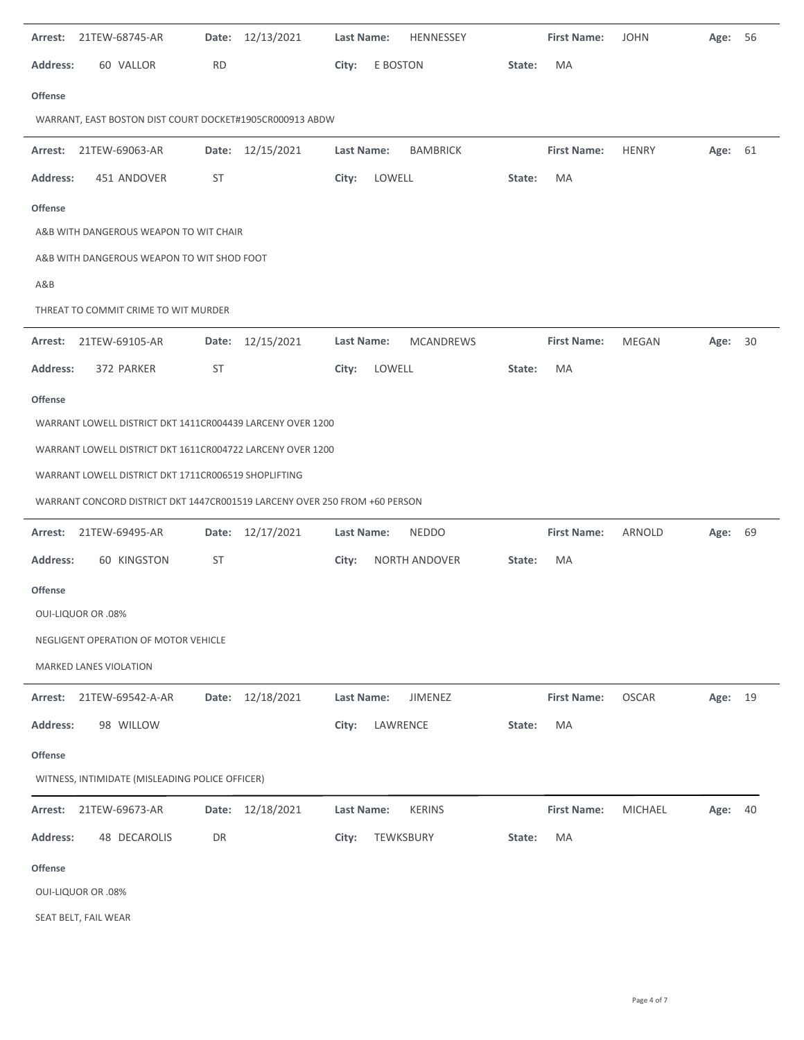| 21TEW-68745-AR<br>Arrest:                                                  | Date: 12/13/2021 | Last Name:<br>HENNESSEY        | <b>First Name:</b> | <b>JOHN</b><br>-56<br>Age:   |
|----------------------------------------------------------------------------|------------------|--------------------------------|--------------------|------------------------------|
| <b>Address:</b><br>60 VALLOR                                               | <b>RD</b>        | E BOSTON<br>City:              | MA<br>State:       |                              |
| <b>Offense</b>                                                             |                  |                                |                    |                              |
| WARRANT, EAST BOSTON DIST COURT DOCKET#1905CR000913 ABDW                   |                  |                                |                    |                              |
| Arrest: 21TEW-69063-AR                                                     | Date: 12/15/2021 | <b>BAMBRICK</b><br>Last Name:  | <b>First Name:</b> | <b>HENRY</b><br>Age: 61      |
| <b>Address:</b><br>451 ANDOVER                                             | ST               | LOWELL<br>City:                | MA<br>State:       |                              |
| <b>Offense</b>                                                             |                  |                                |                    |                              |
| A&B WITH DANGEROUS WEAPON TO WIT CHAIR                                     |                  |                                |                    |                              |
| A&B WITH DANGEROUS WEAPON TO WIT SHOD FOOT                                 |                  |                                |                    |                              |
| A&B                                                                        |                  |                                |                    |                              |
| THREAT TO COMMIT CRIME TO WIT MURDER                                       |                  |                                |                    |                              |
| Arrest: 21TEW-69105-AR                                                     | Date: 12/15/2021 | Last Name:<br><b>MCANDREWS</b> | <b>First Name:</b> | Age: 30<br>MEGAN             |
| <b>Address:</b><br>372 PARKER                                              | ST               | LOWELL<br>City:                | MA<br>State:       |                              |
| <b>Offense</b>                                                             |                  |                                |                    |                              |
| WARRANT LOWELL DISTRICT DKT 1411CR004439 LARCENY OVER 1200                 |                  |                                |                    |                              |
| WARRANT LOWELL DISTRICT DKT 1611CR004722 LARCENY OVER 1200                 |                  |                                |                    |                              |
| WARRANT LOWELL DISTRICT DKT 1711CR006519 SHOPLIFTING                       |                  |                                |                    |                              |
| WARRANT CONCORD DISTRICT DKT 1447CR001519 LARCENY OVER 250 FROM +60 PERSON |                  |                                |                    |                              |
| Arrest: 21TEW-69495-AR                                                     | Date: 12/17/2021 | <b>NEDDO</b><br>Last Name:     | <b>First Name:</b> | ARNOLD<br>Age: 69            |
| 60 KINGSTON<br><b>Address:</b>                                             | ST               | City:<br>NORTH ANDOVER         | MA<br>State:       |                              |
| <b>Offense</b>                                                             |                  |                                |                    |                              |
| <b>OUI-LIQUOR OR .08%</b>                                                  |                  |                                |                    |                              |
| NEGLIGENT OPERATION OF MOTOR VEHICLE                                       |                  |                                |                    |                              |
| MARKED LANES VIOLATION                                                     |                  |                                |                    |                              |
| Arrest: 21TEW-69542-A-AR                                                   | Date: 12/18/2021 | Last Name:<br>JIMENEZ          | <b>First Name:</b> | <b>OSCAR</b><br>Age: 19      |
| <b>Address:</b><br>98 WILLOW                                               |                  | City:<br>LAWRENCE              | MA<br>State:       |                              |
| <b>Offense</b>                                                             |                  |                                |                    |                              |
| WITNESS, INTIMIDATE (MISLEADING POLICE OFFICER)                            |                  |                                |                    |                              |
| 21TEW-69673-AR<br>Arrest:                                                  | Date: 12/18/2021 | Last Name:<br><b>KERINS</b>    | <b>First Name:</b> | <b>MICHAEL</b><br>Age:<br>40 |
| <b>Address:</b><br>48 DECAROLIS                                            | DR               | City:<br>TEWKSBURY             | MA<br>State:       |                              |
| <b>Offense</b>                                                             |                  |                                |                    |                              |
|                                                                            |                  |                                |                    |                              |
| <b>OUI-LIQUOR OR .08%</b>                                                  |                  |                                |                    |                              |

SEAT BELT, FAIL WEAR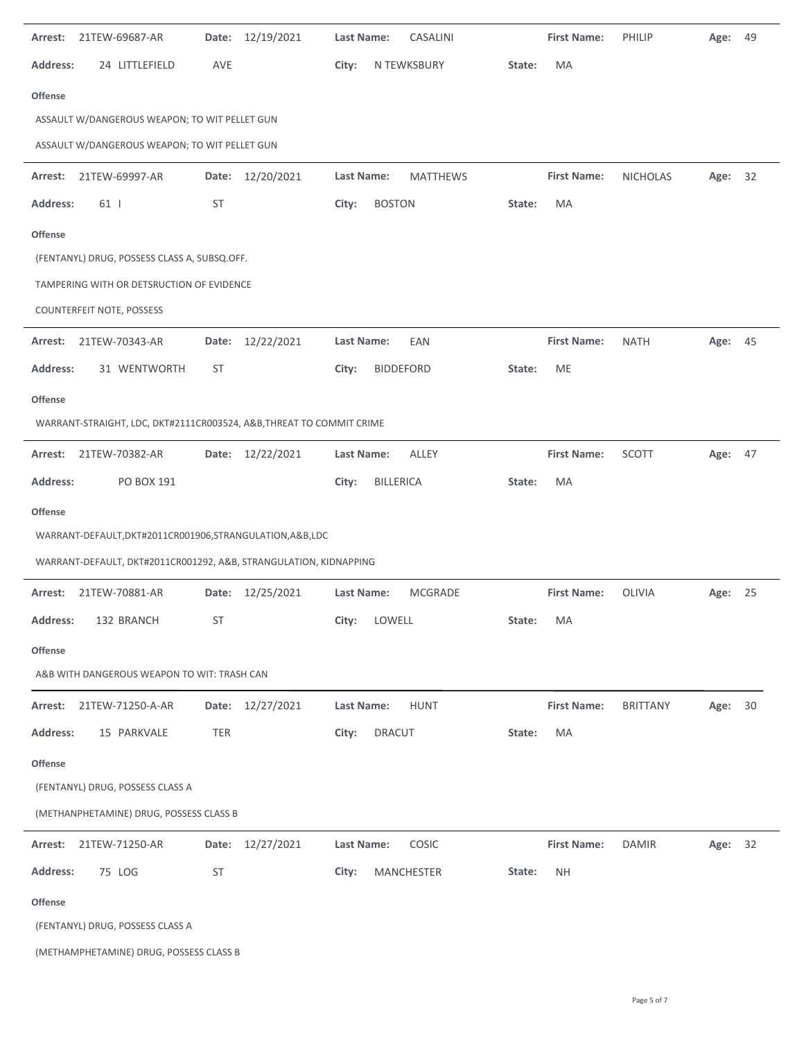| 21TEW-69687-AR<br>Arrest:                                            | Date: 12/19/2021 | CASALINI<br><b>Last Name:</b>       | <b>First Name:</b>  | <b>PHILIP</b>   | 49<br>Age: |
|----------------------------------------------------------------------|------------------|-------------------------------------|---------------------|-----------------|------------|
| 24 LITTLEFIELD<br><b>Address:</b>                                    | AVE              | City:<br>N TEWKSBURY                | MA<br>State:        |                 |            |
| Offense                                                              |                  |                                     |                     |                 |            |
| ASSAULT W/DANGEROUS WEAPON; TO WIT PELLET GUN                        |                  |                                     |                     |                 |            |
| ASSAULT W/DANGEROUS WEAPON; TO WIT PELLET GUN                        |                  |                                     |                     |                 |            |
| 21TEW-69997-AR<br>Arrest:                                            | Date: 12/20/2021 | Last Name:<br><b>MATTHEWS</b>       | <b>First Name:</b>  | <b>NICHOLAS</b> | 32<br>Age: |
| <b>Address:</b><br>61                                                | ST               | City:<br><b>BOSTON</b>              | MA<br>State:        |                 |            |
| Offense                                                              |                  |                                     |                     |                 |            |
| (FENTANYL) DRUG, POSSESS CLASS A, SUBSQ.OFF.                         |                  |                                     |                     |                 |            |
| TAMPERING WITH OR DETSRUCTION OF EVIDENCE                            |                  |                                     |                     |                 |            |
| COUNTERFEIT NOTE, POSSESS                                            |                  |                                     |                     |                 |            |
| 21TEW-70343-AR<br>Arrest:                                            | Date: 12/22/2021 | <b>Last Name:</b><br>EAN            | <b>First Name:</b>  | <b>NATH</b>     | Age: 45    |
| <b>Address:</b><br>31 WENTWORTH                                      | ST               | <b>BIDDEFORD</b><br>City:           | ME<br>State:        |                 |            |
| Offense                                                              |                  |                                     |                     |                 |            |
| WARRANT-STRAIGHT, LDC, DKT#2111CR003524, A&B, THREAT TO COMMIT CRIME |                  |                                     |                     |                 |            |
| 21TEW-70382-AR<br>Arrest:                                            | Date: 12/22/2021 | Last Name:<br>ALLEY                 | <b>First Name:</b>  | SCOTT           | Age: 47    |
| <b>Address:</b><br>PO BOX 191                                        |                  | BILLERICA<br>City:                  | State:<br>MA        |                 |            |
|                                                                      |                  |                                     |                     |                 |            |
| Offense                                                              |                  |                                     |                     |                 |            |
| WARRANT-DEFAULT, DKT#2011CR001906, STRANGULATION, A&B, LDC           |                  |                                     |                     |                 |            |
| WARRANT-DEFAULT, DKT#2011CR001292, A&B, STRANGULATION, KIDNAPPING    |                  |                                     |                     |                 |            |
| 21TEW-70881-AR<br>Arrest:                                            | Date: 12/25/2021 | <b>Last Name:</b><br><b>MCGRADE</b> | <b>First Name:</b>  | OLIVIA          | Age: 25    |
| Address:<br>132 BRANCH                                               | ST               | LOWELL<br>City:                     | MA<br>State:        |                 |            |
| <b>Offense</b>                                                       |                  |                                     |                     |                 |            |
| A&B WITH DANGEROUS WEAPON TO WIT: TRASH CAN                          |                  |                                     |                     |                 |            |
| 21TEW-71250-A-AR<br>Arrest:                                          | Date: 12/27/2021 | <b>HUNT</b><br>Last Name:           | <b>First Name:</b>  | <b>BRITTANY</b> | 30<br>Age: |
| <b>Address:</b><br>15 PARKVALE                                       | TER              | City:<br><b>DRACUT</b>              | MA<br>State:        |                 |            |
| <b>Offense</b>                                                       |                  |                                     |                     |                 |            |
| (FENTANYL) DRUG, POSSESS CLASS A                                     |                  |                                     |                     |                 |            |
| (METHANPHETAMINE) DRUG, POSSESS CLASS B                              |                  |                                     |                     |                 |            |
| Arrest:<br>21TEW-71250-AR                                            | Date: 12/27/2021 | Last Name:<br>COSIC                 | <b>First Name:</b>  | <b>DAMIR</b>    | Age: 32    |
| <b>Address:</b><br>75 LOG                                            | ST               | MANCHESTER<br>City:                 | <b>NH</b><br>State: |                 |            |
| <b>Offense</b>                                                       |                  |                                     |                     |                 |            |
| (FENTANYL) DRUG, POSSESS CLASS A                                     |                  |                                     |                     |                 |            |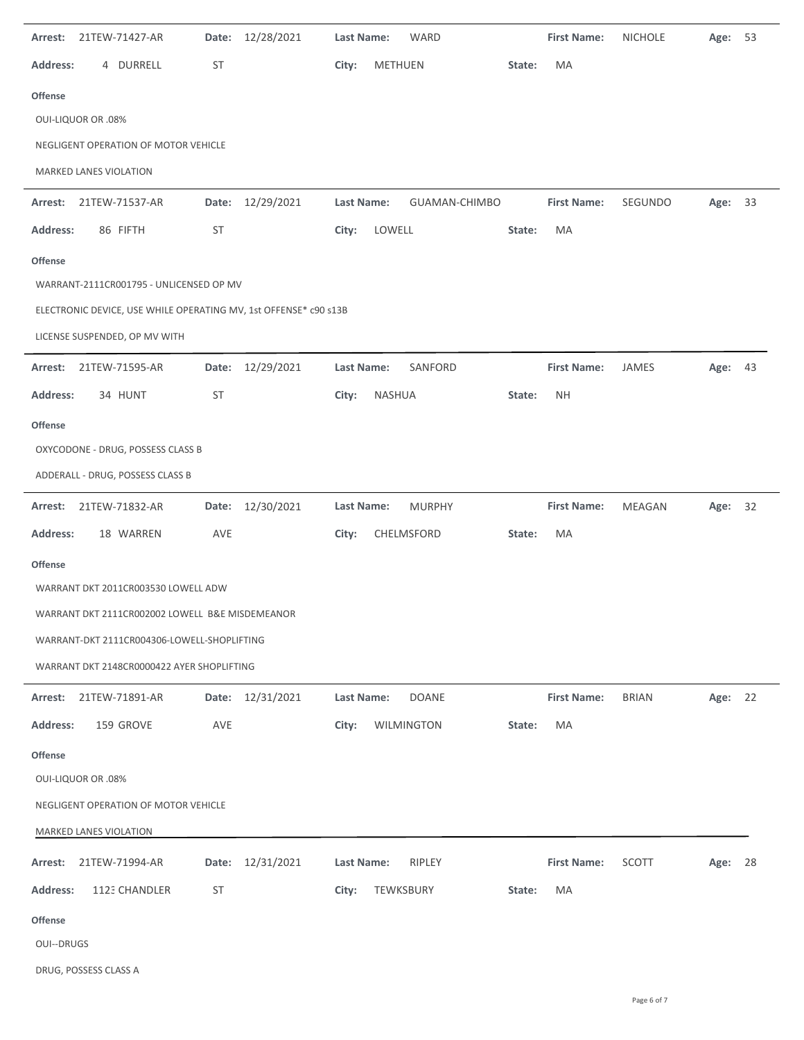| 21TEW-71427-AR<br>Arrest:                                        | Date: 12/28/2021    | Last Name:<br>WARD          | <b>First Name:</b>  | <b>NICHOLE</b><br>53<br>Age: |
|------------------------------------------------------------------|---------------------|-----------------------------|---------------------|------------------------------|
| 4 DURRELL<br><b>Address:</b>                                     | ST                  | City:<br>METHUEN            | MA<br>State:        |                              |
| <b>Offense</b>                                                   |                     |                             |                     |                              |
| <b>OUI-LIQUOR OR .08%</b>                                        |                     |                             |                     |                              |
| NEGLIGENT OPERATION OF MOTOR VEHICLE                             |                     |                             |                     |                              |
| MARKED LANES VIOLATION                                           |                     |                             |                     |                              |
| 21TEW-71537-AR<br>Arrest:                                        | Date: 12/29/2021    | Last Name:<br>GUAMAN-CHIMBO | <b>First Name:</b>  | SEGUNDO<br>Age: 33           |
| <b>Address:</b><br>86 FIFTH                                      | ST                  | LOWELL<br>City:             | State:<br>MA        |                              |
| <b>Offense</b>                                                   |                     |                             |                     |                              |
| WARRANT-2111CR001795 - UNLICENSED OP MV                          |                     |                             |                     |                              |
| ELECTRONIC DEVICE, USE WHILE OPERATING MV, 1st OFFENSE* c90 s13B |                     |                             |                     |                              |
| LICENSE SUSPENDED, OP MV WITH                                    |                     |                             |                     |                              |
| 21TEW-71595-AR<br>Arrest:                                        | Date: 12/29/2021    | Last Name:<br>SANFORD       | <b>First Name:</b>  | JAMES<br>Age: 43             |
| Address:<br>34 HUNT                                              | ST                  | NASHUA<br>City:             | <b>NH</b><br>State: |                              |
| <b>Offense</b>                                                   |                     |                             |                     |                              |
| OXYCODONE - DRUG, POSSESS CLASS B                                |                     |                             |                     |                              |
| ADDERALL - DRUG, POSSESS CLASS B                                 |                     |                             |                     |                              |
| 21TEW-71832-AR<br>Arrest:                                        | Date: 12/30/2021    | Last Name:<br><b>MURPHY</b> | <b>First Name:</b>  | <b>MEAGAN</b><br>Age: 32     |
|                                                                  |                     |                             |                     |                              |
| <b>Address:</b><br>18 WARREN                                     | AVE                 | CHELMSFORD<br>City:         | State:<br>MA        |                              |
| <b>Offense</b>                                                   |                     |                             |                     |                              |
| WARRANT DKT 2011CR003530 LOWELL ADW                              |                     |                             |                     |                              |
| WARRANT DKT 2111CR002002 LOWELL B&E MISDEMEANOR                  |                     |                             |                     |                              |
| WARRANT-DKT 2111CR004306-LOWELL-SHOPLIFTING                      |                     |                             |                     |                              |
| WARRANT DKT 2148CR0000422 AYER SHOPLIFTING                       |                     |                             |                     |                              |
| Arrest:<br>21TEW-71891-AR                                        | Date: 12/31/2021    | Last Name:<br><b>DOANE</b>  | <b>First Name:</b>  | <b>BRIAN</b><br>Age: 22      |
| <b>Address:</b><br>159 GROVE                                     | AVE                 | WILMINGTON<br>City:         | MA<br>State:        |                              |
| <b>Offense</b>                                                   |                     |                             |                     |                              |
| <b>OUI-LIQUOR OR .08%</b>                                        |                     |                             |                     |                              |
| NEGLIGENT OPERATION OF MOTOR VEHICLE                             |                     |                             |                     |                              |
| MARKED LANES VIOLATION                                           |                     |                             |                     |                              |
| 21TEW-71994-AR<br>Arrest:                                        | 12/31/2021<br>Date: | Last Name:<br>RIPLEY        | <b>First Name:</b>  | SCOTT<br>28<br>Age:          |
| <b>Address:</b><br>1123 CHANDLER                                 | ST                  | TEWKSBURY<br>City:          | MA<br>State:        |                              |
| <b>Offense</b>                                                   |                     |                             |                     |                              |
| <b>OUI--DRUGS</b>                                                |                     |                             |                     |                              |

DRUG, POSSESS CLASS A